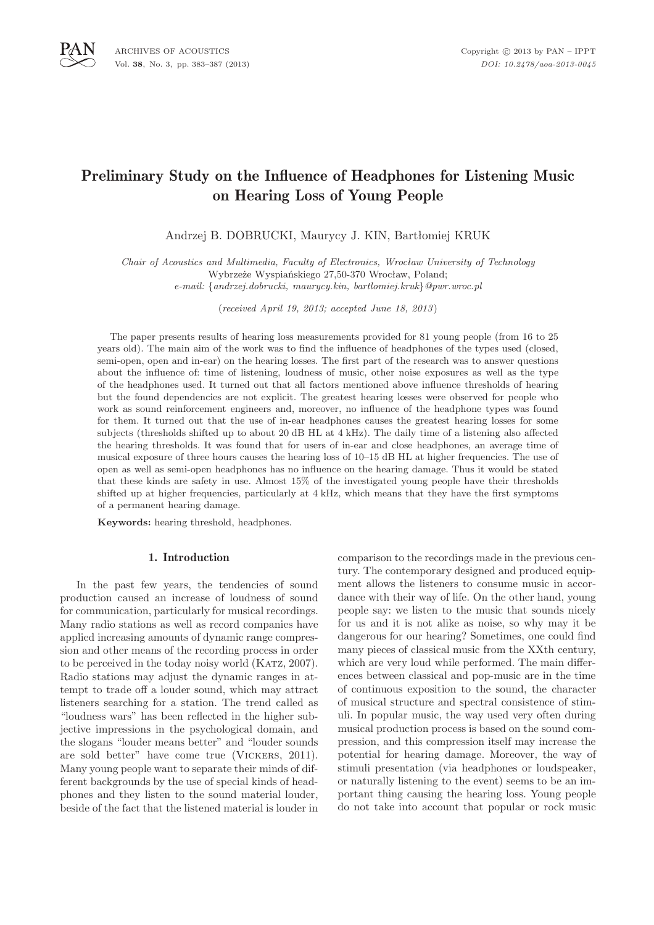

# Preliminary Study on the Influence of Headphones for Listening Music on Hearing Loss of Young People

Andrzej B. DOBRUCKI, Maurycy J. KIN, Bartłomiej KRUK

*Chair of Acoustics and Multimedia, Faculty of Electronics, Wrocław University of Technology* Wybrzeże Wyspiańskiego 27,50-370 Wrocław, Poland; *e-mail:* {*andrzej.dobrucki, maurycy.kin, bartlomiej.kruk*}*@pwr.wroc.pl*

(*received April 19, 2013; accepted June 18, 2013*)

The paper presents results of hearing loss measurements provided for 81 young people (from 16 to 25 years old). The main aim of the work was to find the influence of headphones of the types used (closed, semi-open, open and in-ear) on the hearing losses. The first part of the research was to answer questions about the influence of: time of listening, loudness of music, other noise exposures as well as the type of the headphones used. It turned out that all factors mentioned above influence thresholds of hearing but the found dependencies are not explicit. The greatest hearing losses were observed for people who work as sound reinforcement engineers and, moreover, no influence of the headphone types was found for them. It turned out that the use of in-ear headphones causes the greatest hearing losses for some subjects (thresholds shifted up to about 20 dB HL at 4 kHz). The daily time of a listening also affected the hearing thresholds. It was found that for users of in-ear and close headphones, an average time of musical exposure of three hours causes the hearing loss of 10–15 dB HL at higher frequencies. The use of open as well as semi-open headphones has no influence on the hearing damage. Thus it would be stated that these kinds are safety in use. Almost 15% of the investigated young people have their thresholds shifted up at higher frequencies, particularly at 4 kHz, which means that they have the first symptoms of a permanent hearing damage.

**Keywords:** hearing threshold, headphones.

## 1. Introduction

In the past few years, the tendencies of sound production caused an increase of loudness of sound for communication, particularly for musical recordings. Many radio stations as well as record companies have applied increasing amounts of dynamic range compression and other means of the recording process in order to be perceived in the today noisy world (Katz, 2007). Radio stations may adjust the dynamic ranges in attempt to trade off a louder sound, which may attract listeners searching for a station. The trend called as "loudness wars" has been reflected in the higher subjective impressions in the psychological domain, and the slogans "louder means better" and "louder sounds are sold better" have come true (Vickers, 2011). Many young people want to separate their minds of different backgrounds by the use of special kinds of headphones and they listen to the sound material louder, beside of the fact that the listened material is louder in

comparison to the recordings made in the previous century. The contemporary designed and produced equipment allows the listeners to consume music in accordance with their way of life. On the other hand, young people say: we listen to the music that sounds nicely for us and it is not alike as noise, so why may it be dangerous for our hearing? Sometimes, one could find many pieces of classical music from the XXth century, which are very loud while performed. The main differences between classical and pop-music are in the time of continuous exposition to the sound, the character of musical structure and spectral consistence of stimuli. In popular music, the way used very often during musical production process is based on the sound compression, and this compression itself may increase the potential for hearing damage. Moreover, the way of stimuli presentation (via headphones or loudspeaker, or naturally listening to the event) seems to be an important thing causing the hearing loss. Young people do not take into account that popular or rock music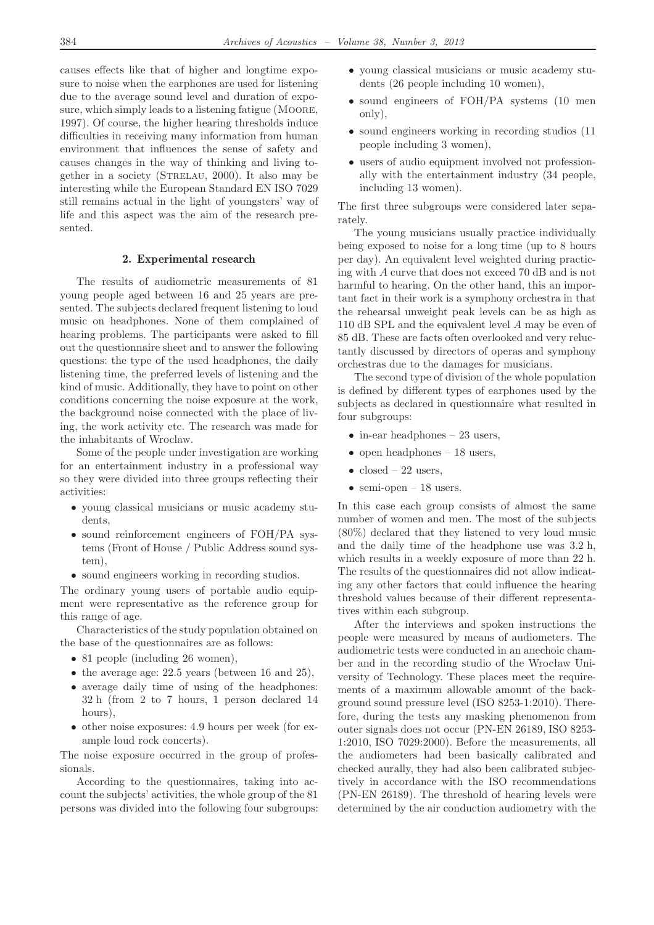causes effects like that of higher and longtime exposure to noise when the earphones are used for listening due to the average sound level and duration of exposure, which simply leads to a listening fatigue (MOORE, 1997). Of course, the higher hearing thresholds induce difficulties in receiving many information from human environment that influences the sense of safety and causes changes in the way of thinking and living together in a society (Strelau, 2000). It also may be interesting while the European Standard EN ISO 7029 still remains actual in the light of youngsters' way of life and this aspect was the aim of the research presented.

## 2. Experimental research

The results of audiometric measurements of 81 young people aged between 16 and 25 years are presented. The subjects declared frequent listening to loud music on headphones. None of them complained of hearing problems. The participants were asked to fill out the questionnaire sheet and to answer the following questions: the type of the used headphones, the daily listening time, the preferred levels of listening and the kind of music. Additionally, they have to point on other conditions concerning the noise exposure at the work, the background noise connected with the place of living, the work activity etc. The research was made for the inhabitants of Wroclaw.

Some of the people under investigation are working for an entertainment industry in a professional way so they were divided into three groups reflecting their activities:

- young classical musicians or music academy students,
- sound reinforcement engineers of FOH/PA systems (Front of House / Public Address sound system),
- sound engineers working in recording studios.

The ordinary young users of portable audio equipment were representative as the reference group for this range of age.

Characteristics of the study population obtained on the base of the questionnaires are as follows:

- 81 people (including 26 women),
- the average age: 22.5 years (between 16 and 25),
- average daily time of using of the headphones: 32 h (from 2 to 7 hours, 1 person declared 14 hours),
- other noise exposures: 4.9 hours per week (for example loud rock concerts).

The noise exposure occurred in the group of professionals.

According to the questionnaires, taking into account the subjects' activities, the whole group of the 81 persons was divided into the following four subgroups:

- young classical musicians or music academy students (26 people including 10 women),
- sound engineers of FOH/PA systems (10 men only),
- sound engineers working in recording studios (11 people including 3 women),
- users of audio equipment involved not professionally with the entertainment industry (34 people, including 13 women).

The first three subgroups were considered later separately.

The young musicians usually practice individually being exposed to noise for a long time (up to 8 hours per day). An equivalent level weighted during practicing with A curve that does not exceed 70 dB and is not harmful to hearing. On the other hand, this an important fact in their work is a symphony orchestra in that the rehearsal unweight peak levels can be as high as 110 dB SPL and the equivalent level A may be even of 85 dB. These are facts often overlooked and very reluctantly discussed by directors of operas and symphony orchestras due to the damages for musicians.

The second type of division of the whole population is defined by different types of earphones used by the subjects as declared in questionnaire what resulted in four subgroups:

- in-ear headphones 23 users,
- open headphones  $-18$  users,
- $closed 22$  users,
- semi-open  $-18$  users.

In this case each group consists of almost the same number of women and men. The most of the subjects (80%) declared that they listened to very loud music and the daily time of the headphone use was 3.2 h, which results in a weekly exposure of more than 22 h. The results of the questionnaires did not allow indicating any other factors that could influence the hearing threshold values because of their different representatives within each subgroup.

After the interviews and spoken instructions the people were measured by means of audiometers. The audiometric tests were conducted in an anechoic chamber and in the recording studio of the Wrocław University of Technology. These places meet the requirements of a maximum allowable amount of the background sound pressure level (ISO 8253-1:2010). Therefore, during the tests any masking phenomenon from outer signals does not occur (PN-EN 26189, ISO 8253- 1:2010, ISO 7029:2000). Before the measurements, all the audiometers had been basically calibrated and checked aurally, they had also been calibrated subjectively in accordance with the ISO recommendations (PN-EN 26189). The threshold of hearing levels were determined by the air conduction audiometry with the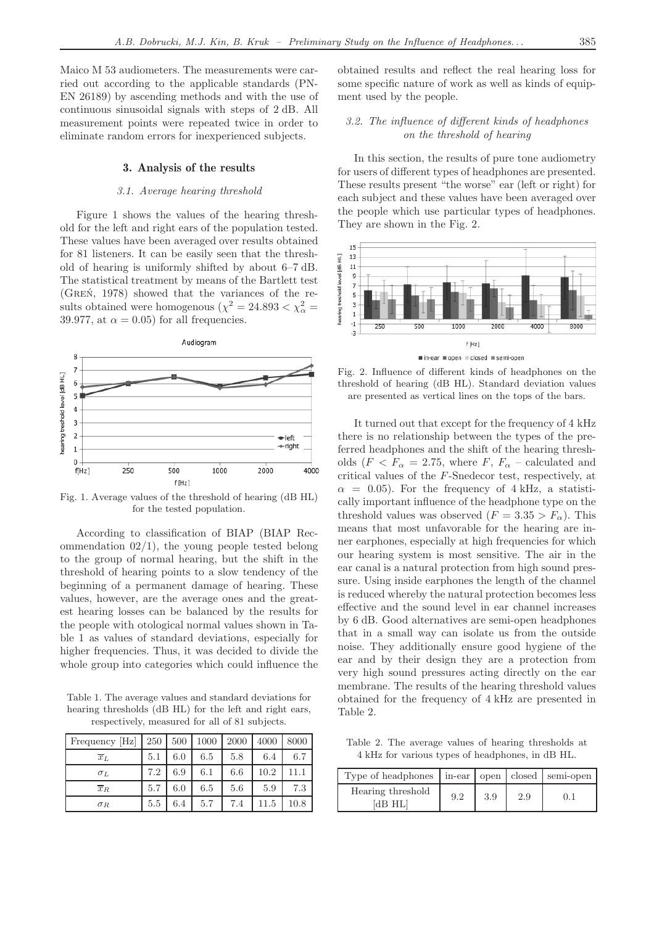Maico M 53 audiometers. The measurements were carried out according to the applicable standards (PN-EN 26189) by ascending methods and with the use of continuous sinusoidal signals with steps of 2 dB. All measurement points were repeated twice in order to eliminate random errors for inexperienced subjects.

#### 3. Analysis of the results

#### *3.1. Average hearing threshold*

Figure 1 shows the values of the hearing threshold for the left and right ears of the population tested. These values have been averaged over results obtained for 81 listeners. It can be easily seen that the threshold of hearing is uniformly shifted by about 6–7 dB. The statistical treatment by means of the Bartlett test (Greń, 1978) showed that the variances of the results obtained were homogenous  $(\chi^2 = 24.893 < \chi^2_{\alpha} =$ 39.977, at  $\alpha = 0.05$  for all frequencies.



Fig. 1. Average values of the threshold of hearing (dB HL) for the tested population.

According to classification of BIAP (BIAP Recommendation 02/1), the young people tested belong to the group of normal hearing, but the shift in the threshold of hearing points to a slow tendency of the beginning of a permanent damage of hearing. These values, however, are the average ones and the greatest hearing losses can be balanced by the results for the people with otological normal values shown in Table 1 as values of standard deviations, especially for higher frequencies. Thus, it was decided to divide the whole group into categories which could influence the

Table 1. The average values and standard deviations for hearing thresholds (dB HL) for the left and right ears, respectively, measured for all of 81 subjects.

| Frequency [Hz]   | 250 | 500 | 1000 | 2000 | 4000 | 8000 |
|------------------|-----|-----|------|------|------|------|
| $\overline{x}_L$ | 5.1 | 6.0 | 6.5  | 5.8  | 6.4  | 6.7  |
| $\sigma_L$       | 7.2 | 6.9 | 6.1  | 6.6  | 10.2 | 11.1 |
| $\overline{x}_R$ | 5.7 | 6.0 | 6.5  | 5.6  | 5.9  | 7.3  |
| $\sigma_R$       | 5.5 | 6.4 | 5.7  | 7.4  | 11.5 | 10.8 |

obtained results and reflect the real hearing loss for some specific nature of work as well as kinds of equipment used by the people.

## *3.2. The influence of different kinds of headphones on the threshold of hearing*

In this section, the results of pure tone audiometry for users of different types of headphones are presented. These results present "the worse" ear (left or right) for each subject and these values have been averaged over the people which use particular types of headphones. They are shown in the Fig. 2.



Fig. 2. Influence of different kinds of headphones on the threshold of hearing (dB HL). Standard deviation values are presented as vertical lines on the tops of the bars.

It turned out that except for the frequency of 4 kHz there is no relationship between the types of the preferred headphones and the shift of the hearing thresholds ( $F < F_\alpha = 2.75$ , where  $F, F_\alpha$  – calculated and critical values of the F-Snedecor test, respectively, at  $\alpha = 0.05$ . For the frequency of 4 kHz, a statistically important influence of the headphone type on the threshold values was observed  $(F = 3.35 > F_{\alpha})$ . This means that most unfavorable for the hearing are inner earphones, especially at high frequencies for which our hearing system is most sensitive. The air in the ear canal is a natural protection from high sound pressure. Using inside earphones the length of the channel is reduced whereby the natural protection becomes less effective and the sound level in ear channel increases by 6 dB. Good alternatives are semi-open headphones that in a small way can isolate us from the outside noise. They additionally ensure good hygiene of the ear and by their design they are a protection from very high sound pressures acting directly on the ear membrane. The results of the hearing threshold values obtained for the frequency of 4 kHz are presented in Table 2.

Table 2. The average values of hearing thresholds at 4 kHz for various types of headphones, in dB HL.

| Type of headphones   in-ear   open   closed   semi-open |     |     |     |           |
|---------------------------------------------------------|-----|-----|-----|-----------|
| Hearing threshold<br>[dB HL]                            | 9.2 | 3.9 | 2.9 | $(1)$ . 1 |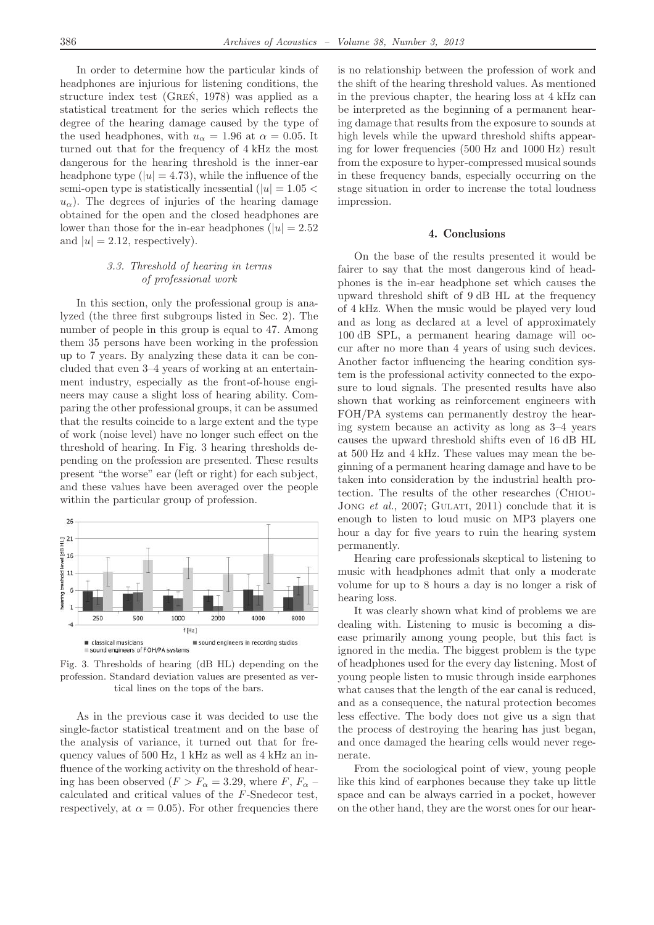In order to determine how the particular kinds of headphones are injurious for listening conditions, the structure index test (Greń, 1978) was applied as a statistical treatment for the series which reflects the degree of the hearing damage caused by the type of the used headphones, with  $u_{\alpha} = 1.96$  at  $\alpha = 0.05$ . It turned out that for the frequency of 4 kHz the most dangerous for the hearing threshold is the inner-ear headphone type  $(|u| = 4.73)$ , while the influence of the semi-open type is statistically inessential ( $|u| = 1.05$ )  $u_{\alpha}$ ). The degrees of injuries of the hearing damage obtained for the open and the closed headphones are lower than those for the in-ear headphones ( $|u| = 2.52$ ) and  $|u| = 2.12$ , respectively).

#### *3.3. Threshold of hearing in terms of professional work*

In this section, only the professional group is analyzed (the three first subgroups listed in Sec. 2). The number of people in this group is equal to 47. Among them 35 persons have been working in the profession up to 7 years. By analyzing these data it can be concluded that even 3–4 years of working at an entertainment industry, especially as the front-of-house engineers may cause a slight loss of hearing ability. Comparing the other professional groups, it can be assumed that the results coincide to a large extent and the type of work (noise level) have no longer such effect on the threshold of hearing. In Fig. 3 hearing thresholds depending on the profession are presented. These results present "the worse" ear (left or right) for each subject, and these values have been averaged over the people within the particular group of profession.



Fig. 3. Thresholds of hearing (dB HL) depending on the profession. Standard deviation values are presented as vertical lines on the tops of the bars.

As in the previous case it was decided to use the single-factor statistical treatment and on the base of the analysis of variance, it turned out that for frequency values of 500 Hz, 1 kHz as well as 4 kHz an influence of the working activity on the threshold of hearing has been observed  $(F > F_\alpha = 3.29$ , where F,  $F_\alpha$  – calculated and critical values of the F-Snedecor test, respectively, at  $\alpha = 0.05$ . For other frequencies there is no relationship between the profession of work and the shift of the hearing threshold values. As mentioned in the previous chapter, the hearing loss at 4 kHz can be interpreted as the beginning of a permanent hearing damage that results from the exposure to sounds at high levels while the upward threshold shifts appearing for lower frequencies (500 Hz and 1000 Hz) result from the exposure to hyper-compressed musical sounds in these frequency bands, especially occurring on the stage situation in order to increase the total loudness impression.

## 4. Conclusions

On the base of the results presented it would be fairer to say that the most dangerous kind of headphones is the in-ear headphone set which causes the upward threshold shift of 9 dB HL at the frequency of 4 kHz. When the music would be played very loud and as long as declared at a level of approximately 100 dB SPL, a permanent hearing damage will occur after no more than 4 years of using such devices. Another factor influencing the hearing condition system is the professional activity connected to the exposure to loud signals. The presented results have also shown that working as reinforcement engineers with FOH/PA systems can permanently destroy the hearing system because an activity as long as 3–4 years causes the upward threshold shifts even of 16 dB HL at 500 Hz and 4 kHz. These values may mean the beginning of a permanent hearing damage and have to be taken into consideration by the industrial health protection. The results of the other researches (Chiou-Jong *et al.*, 2007; GULATI, 2011) conclude that it is enough to listen to loud music on MP3 players one hour a day for five years to ruin the hearing system permanently.

Hearing care professionals skeptical to listening to music with headphones admit that only a moderate volume for up to 8 hours a day is no longer a risk of hearing loss.

It was clearly shown what kind of problems we are dealing with. Listening to music is becoming a disease primarily among young people, but this fact is ignored in the media. The biggest problem is the type of headphones used for the every day listening. Most of young people listen to music through inside earphones what causes that the length of the ear canal is reduced, and as a consequence, the natural protection becomes less effective. The body does not give us a sign that the process of destroying the hearing has just began, and once damaged the hearing cells would never regenerate.

From the sociological point of view, young people like this kind of earphones because they take up little space and can be always carried in a pocket, however on the other hand, they are the worst ones for our hear